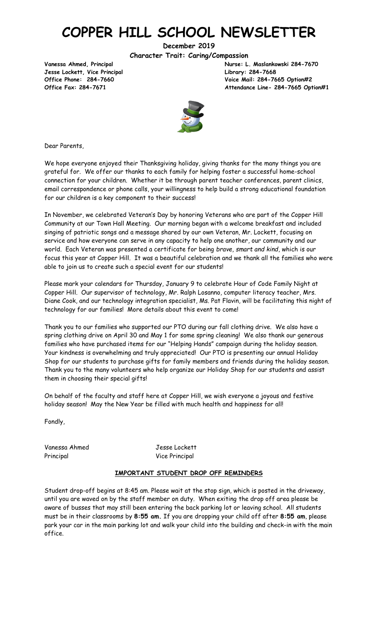# **COPPER HILL SCHOOL NEWSLETTER**

**December 2019**

**Character Trait: Caring/Compassion**

**Jesse Lockett, Vice Principal Library: 284-7668**

**Vanessa Ahmed, Principal Nurse: L. Maslankowski 284-7670 Office Phone: 284-7660 Voice Mail: 284-7665 Option#2 Office Fax: 284-7671 Attendance Line- 284-7665 Option#1**



Dear Parents,

We hope everyone enjoyed their Thanksgiving holiday, giving thanks for the many things you are grateful for. We offer our thanks to each family for helping foster a successful home-school connection for your children. Whether it be through parent teacher conferences, parent clinics, email correspondence or phone calls, your willingness to help build a strong educational foundation for our children is a key component to their success!

In November, we celebrated Veteran's Day by honoring Veterans who are part of the Copper Hill Community at our Town Hall Meeting. Our morning began with a welcome breakfast and included singing of patriotic songs and a message shared by our own Veteran, Mr. Lockett, focusing on service and how everyone can serve in any capacity to help one another, our community and our world. Each Veteran was presented a certificate for being *brave, smart and kind*, which is our focus this year at Copper Hill. It was a beautiful celebration and we thank all the families who were able to join us to create such a special event for our students!

Please mark your calendars for Thursday, January 9 to celebrate Hour of Code Family Night at Copper Hill. Our supervisor of technology, Mr. Ralph Losanno, computer literacy teacher, Mrs. Diane Cook, and our technology integration specialist, Ms. Pat Flavin, will be facilitating this night of technology for our families! More details about this event to come!

Thank you to our families who supported our PTO during our fall clothing drive. We also have a spring clothing drive on April 30 and May 1 for some spring cleaning! We also thank our generous families who have purchased items for our "Helping Hands" campaign during the holiday season. Your kindness is overwhelming and truly appreciated! Our PTO is presenting our annual Holiday Shop for our students to purchase gifts for family members and friends during the holiday season. Thank you to the many volunteers who help organize our Holiday Shop for our students and assist them in choosing their special gifts!

On behalf of the faculty and staff here at Copper Hill, we wish everyone a joyous and festive holiday season! May the New Year be filled with much health and happiness for all!

Fondly,

Vanessa Ahmed Jesse Lockett Principal **Vice Principal** 

#### **IMPORTANT STUDENT DROP OFF REMINDERS**

Student drop-off begins at 8:45 am. Please wait at the stop sign, which is posted in the driveway, until you are waved on by the staff member on duty. When exiting the drop off area please be aware of busses that may still been entering the back parking lot or leaving school. All students must be in their classrooms by **8:55 am.** If you are dropping your child off after **8:55 am**, please park your car in the main parking lot and walk your child into the building and check-in with the main office.